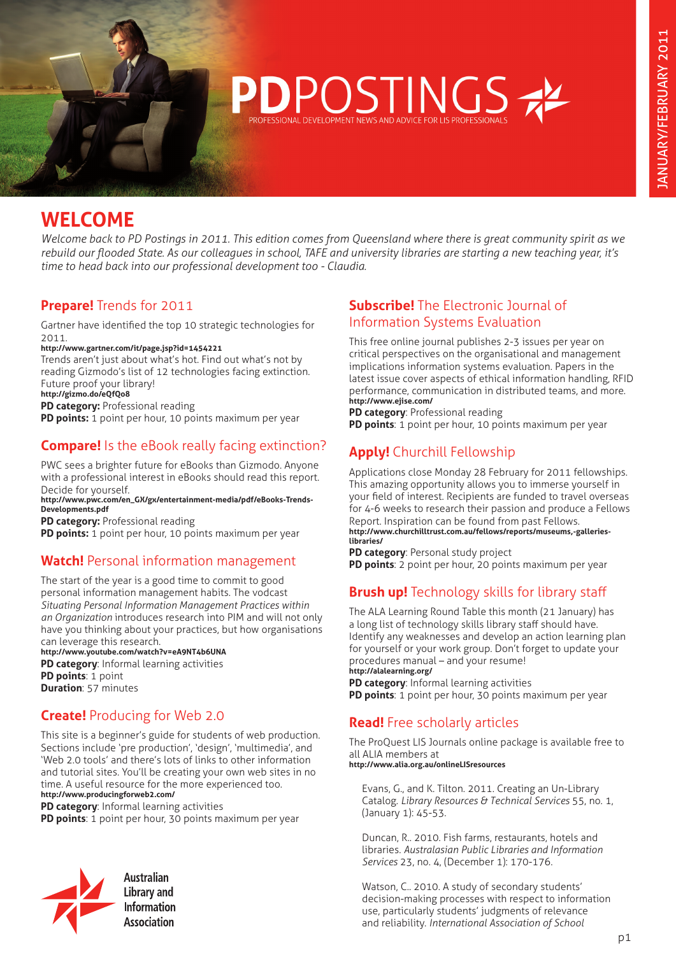

# **WELCOME**

*Welcome back to PD Postings in 2011. This edition comes from Queensland where there is great community spirit as we rebuild our flooded State. As our colleagues in school, TAFE and university libraries are starting a new teaching year, it's time to head back into our professional development too - Claudia.* 

## **Prepare!** Trends for 2011

Gartner have identified the top 10 strategic technologies for 2011.

**http://www.gartner.com/it/page.jsp?id=1454221** 

Trends aren't just about what's hot. Find out what's not by reading Gizmodo's list of 12 technologies facing extinction. Future proof your library!

**http://gizmo.do/eQfQo8** 

**PD category: Professional reading** 

**PD points:** 1 point per hour, 10 points maximum per year

# **Compare!** Is the eBook really facing extinction?

PWC sees a brighter future for eBooks than Gizmodo. Anyone with a professional interest in eBooks should read this report. Decide for yourself.

#### **[http://www.pwc.com/en\\_GX/gx/entertainment-media/pdf/eBooks-Trends-](http://www.pwc.com/en_GX/gx/entertainment-media/pdf/eBooks-Trends-Developments.pdf)[Developments.pdf](http://www.pwc.com/en_GX/gx/entertainment-media/pdf/eBooks-Trends-Developments.pdf)**

**PD category: Professional reading** 

**PD points:** 1 point per hour, 10 points maximum per year

#### **Watch!** Personal information management

The start of the year is a good time to commit to good personal information management habits. The vodcast *Situating Personal Information Management Practices within an Organization* introduces research into PIM and will not only have you thinking about your practices, but how organisations can leverage this research.

**http://www.youtube.com/watch?v=eA9NT4b6UNA PD category**: Informal learning activities **PD points**: 1 point **Duration**: 57 minutes

## **Create!** Producing for Web 2.0

This site is a beginner's guide for students of web production. Sections include 'pre production', 'design', 'multimedia', and 'Web 2.0 tools' and there's lots of links to other information and tutorial sites. You'll be creating your own web sites in no time. A useful resource for the more experienced too. **http://www.producingforweb2.com/** 

**PD category**: Informal learning activities

**PD points**: 1 point per hour, 30 points maximum per year



**Library and Information Association** 

#### **Subscribe!** The Electronic Journal of Information Systems Evaluation

This free online journal publishes 2-3 issues per year on critical perspectives on the organisational and management implications information systems evaluation. Papers in the latest issue cover aspects of ethical information handling, RFID performance, communication in distributed teams, and more. **http://www.ejise.com/**

**PD category**: Professional reading

**PD points**: 1 point per hour, 10 points maximum per year

# **Apply!** Churchill Fellowship

Applications close Monday 28 February for 2011 fellowships. This amazing opportunity allows you to immerse yourself in your field of interest. Recipients are funded to travel overseas for 4-6 weeks to research their passion and produce a Fellows Report. Inspiration can be found from past Fellows. **[http://www.churchilltrust.com.au/fellows/reports/museums,-galleries](http://www.churchilltrust.com.au/fellows/reports/museums,-galleries-libraries/  )[libraries/](http://www.churchilltrust.com.au/fellows/reports/museums,-galleries-libraries/  )** 

**PD category**: Personal study project **PD points**: 2 point per hour, 20 points maximum per year

# **Brush up!** Technology skills for library staff

The ALA Learning Round Table this month (21 January) has a long list of technology skills library staff should have. Identify any weaknesses and develop an action learning plan for yourself or your work group. Don't forget to update your procedures manual – and your resume! **http://alalearning.org/** 

**PD category**: Informal learning activities **PD points**: 1 point per hour, 30 points maximum per year

## **Read!** Free scholarly articles

The ProQuest LIS Journals online package is available free to all ALIA members at

**http://www.alia.org.au/onlineLISresources** 

Evans, G., and K. Tilton. 2011. Creating an Un-Library Catalog. *Library Resources & Technical Services* 55, no. 1, (January 1): 45-53.

Duncan, R.. 2010. Fish farms, restaurants, hotels and libraries. *Australasian Public Libraries and Information Services* 23, no. 4, (December 1): 170-176.

Watson, C.. 2010. A study of secondary students' decision-making processes with respect to information use, particularly students' judgments of relevance and reliability. *International Association of School*